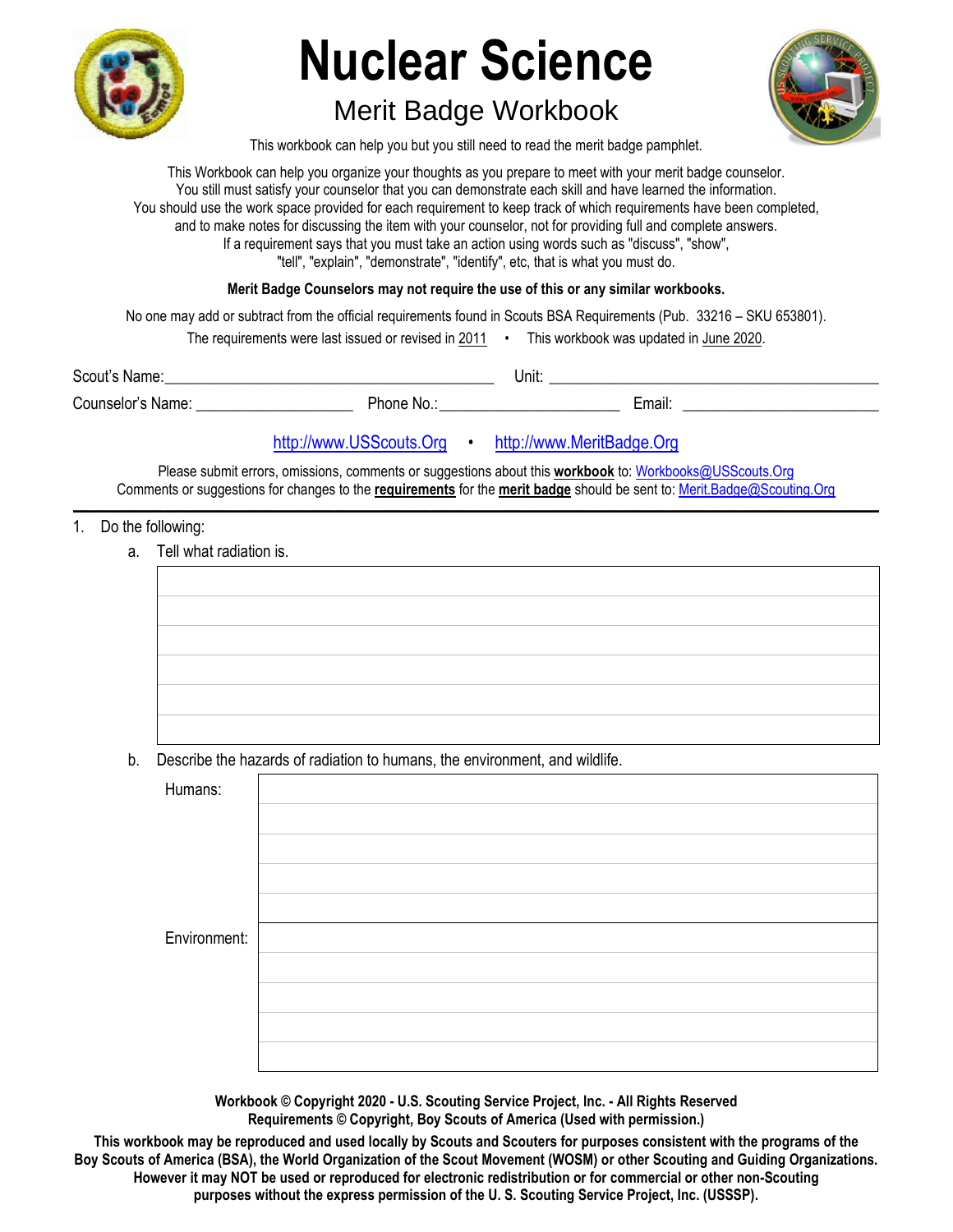

# **Nuclear Science**

# Merit Badge Workbook



This workbook can help you but you still need to read the merit badge pamphlet.

This Workbook can help you organize your thoughts as you prepare to meet with your merit badge counselor. You still must satisfy your counselor that you can demonstrate each skill and have learned the information. You should use the work space provided for each requirement to keep track of which requirements have been completed, and to make notes for discussing the item with your counselor, not for providing full and complete answers. If a requirement says that you must take an action using words such as "discuss", "show", "tell", "explain", "demonstrate", "identify", etc, that is what you must do.

**Merit Badge Counselors may not require the use of this or any similar workbooks.**

No one may add or subtract from the official requirements found in Scouts BSA Requirements (Pub. 33216 – SKU 653801).

| The requirements were last issued or revised in 2011 |  | This workbook was updated in June 2020. |
|------------------------------------------------------|--|-----------------------------------------|
|------------------------------------------------------|--|-----------------------------------------|

| Scout's Name:     |          | Unit: |       |
|-------------------|----------|-------|-------|
| Counselor's Name: | Phone No |       | Email |

## http://www.USScouts.Org • http://www.MeritBadge.Org

Please submit errors, omissions, comments or suggestions about this **workbook** to: Workbooks@USScouts.Org Comments or suggestions for changes to the **requirements** for the **merit badge** should be sent to: Merit.Badge@Scouting.Org *\_\_\_\_\_\_\_\_\_\_\_\_\_\_\_\_\_\_\_\_\_\_\_\_\_\_\_\_\_\_\_\_\_\_\_\_\_\_\_\_\_\_\_\_\_\_\_\_\_\_\_\_\_\_\_\_\_\_\_\_\_\_\_\_\_\_\_\_\_\_\_\_\_\_\_\_\_\_\_\_\_\_\_\_\_\_\_\_\_\_\_\_\_\_\_\_\_\_\_\_\_\_\_\_\_\_\_\_\_\_\_\_\_\_\_\_\_\_\_\_\_\_\_\_\_\_\_\_\_\_\_\_\_\_\_\_\_\_\_\_\_\_* 

#### 1. Do the following:

a. Tell what radiation is.



b. Describe the hazards of radiation to humans, the environment, and wildlife.

| Humans:      |  |
|--------------|--|
|              |  |
|              |  |
|              |  |
|              |  |
| Environment: |  |
|              |  |
|              |  |
|              |  |
|              |  |

**Workbook © Copyright 2020 - U.S. Scouting Service Project, Inc. - All Rights Reserved Requirements © Copyright, Boy Scouts of America (Used with permission.)** 

**This workbook may be reproduced and used locally by Scouts and Scouters for purposes consistent with the programs of the Boy Scouts of America (BSA), the World Organization of the Scout Movement (WOSM) or other Scouting and Guiding Organizations. However it may NOT be used or reproduced for electronic redistribution or for commercial or other non-Scouting purposes without the express permission of the U. S. Scouting Service Project, Inc. (USSSP).**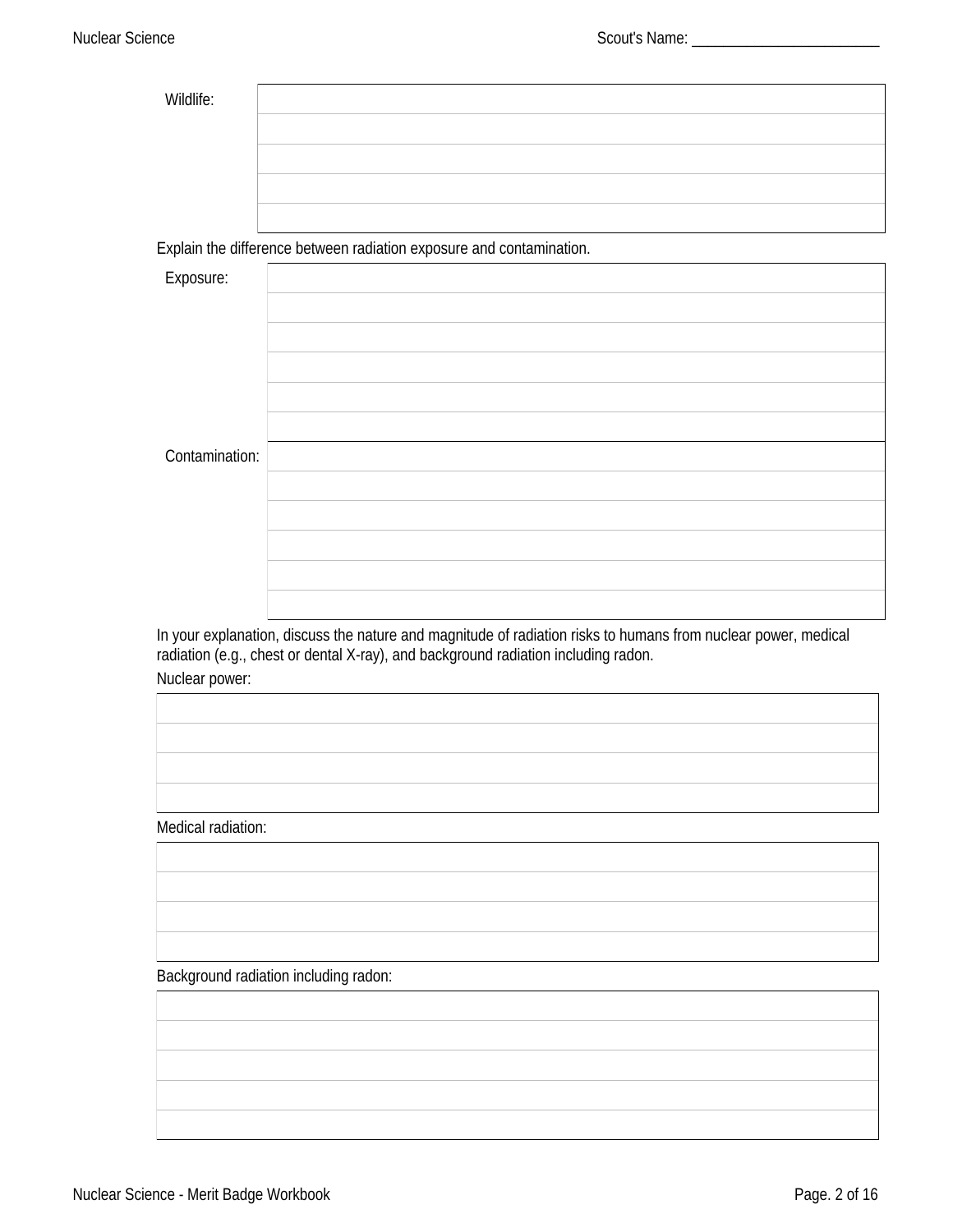| Wildlife: |  |
|-----------|--|
|           |  |
|           |  |
|           |  |
|           |  |

Explain the difference between radiation exposure and contamination.

| Exposure:      |  |
|----------------|--|
|                |  |
|                |  |
|                |  |
|                |  |
|                |  |
|                |  |
|                |  |
|                |  |
|                |  |
|                |  |
|                |  |
|                |  |
|                |  |
|                |  |
|                |  |
|                |  |
| Contamination: |  |
|                |  |
|                |  |
|                |  |
|                |  |
|                |  |
|                |  |
|                |  |
|                |  |
|                |  |
|                |  |
|                |  |
|                |  |
|                |  |
|                |  |

In your explanation, discuss the nature and magnitude of radiation risks to humans from nuclear power, medical<br>radiation (e.g., chest or dental X-ray), and background radiation including radon.

Nuclear power:

**Medical radiation:** 

**Background radiation including radon:**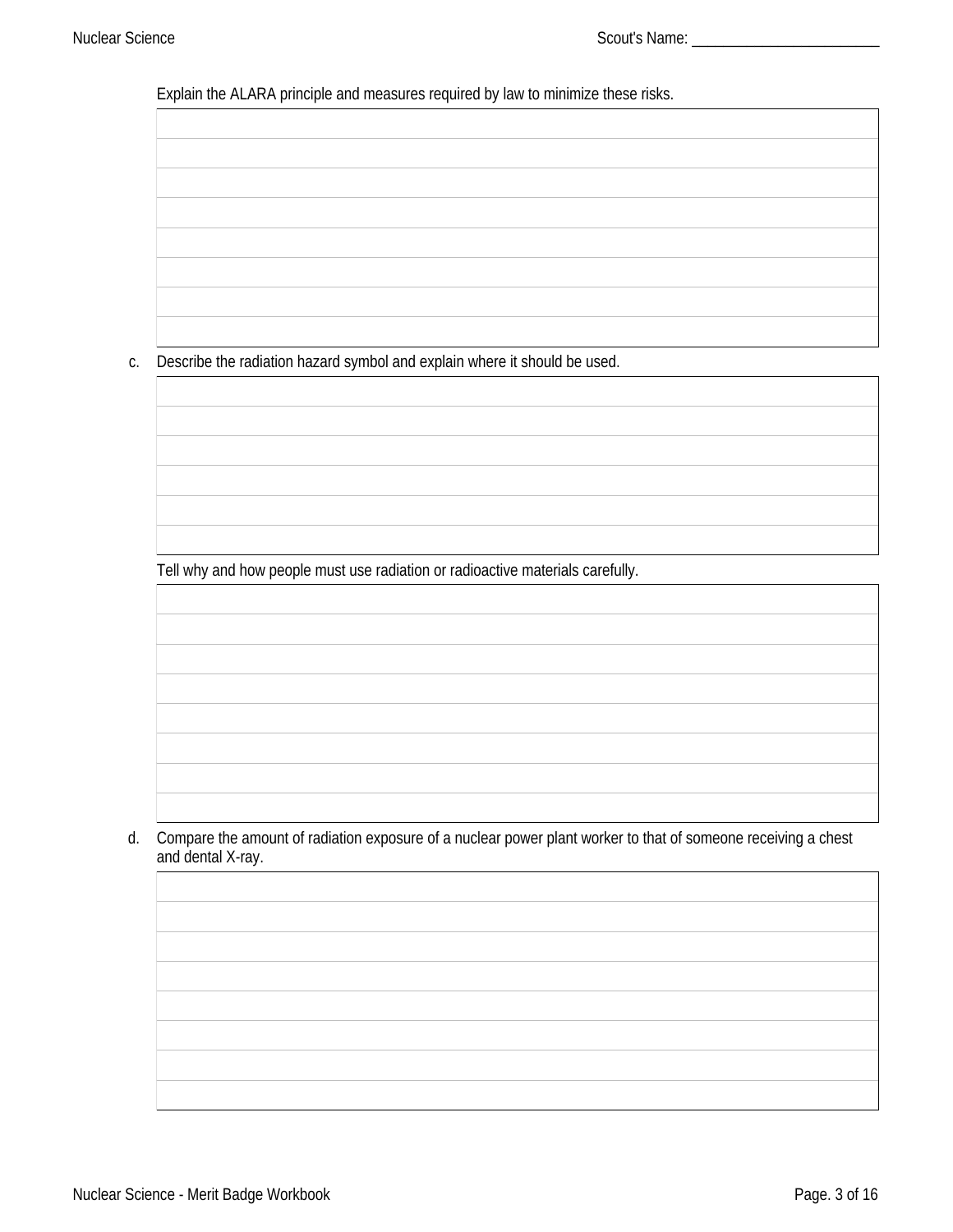Explain the ALARA principle and measures required by law to minimize these risks.

c. Describe the radiation hazard symbol and explain where it should be used.

Tell why and how people must use radiation or radioactive materials carefully.

d. Compare the amount of radiation exposure of a nuclear power plant worker to that of someone receiving a chest and dental X-ray.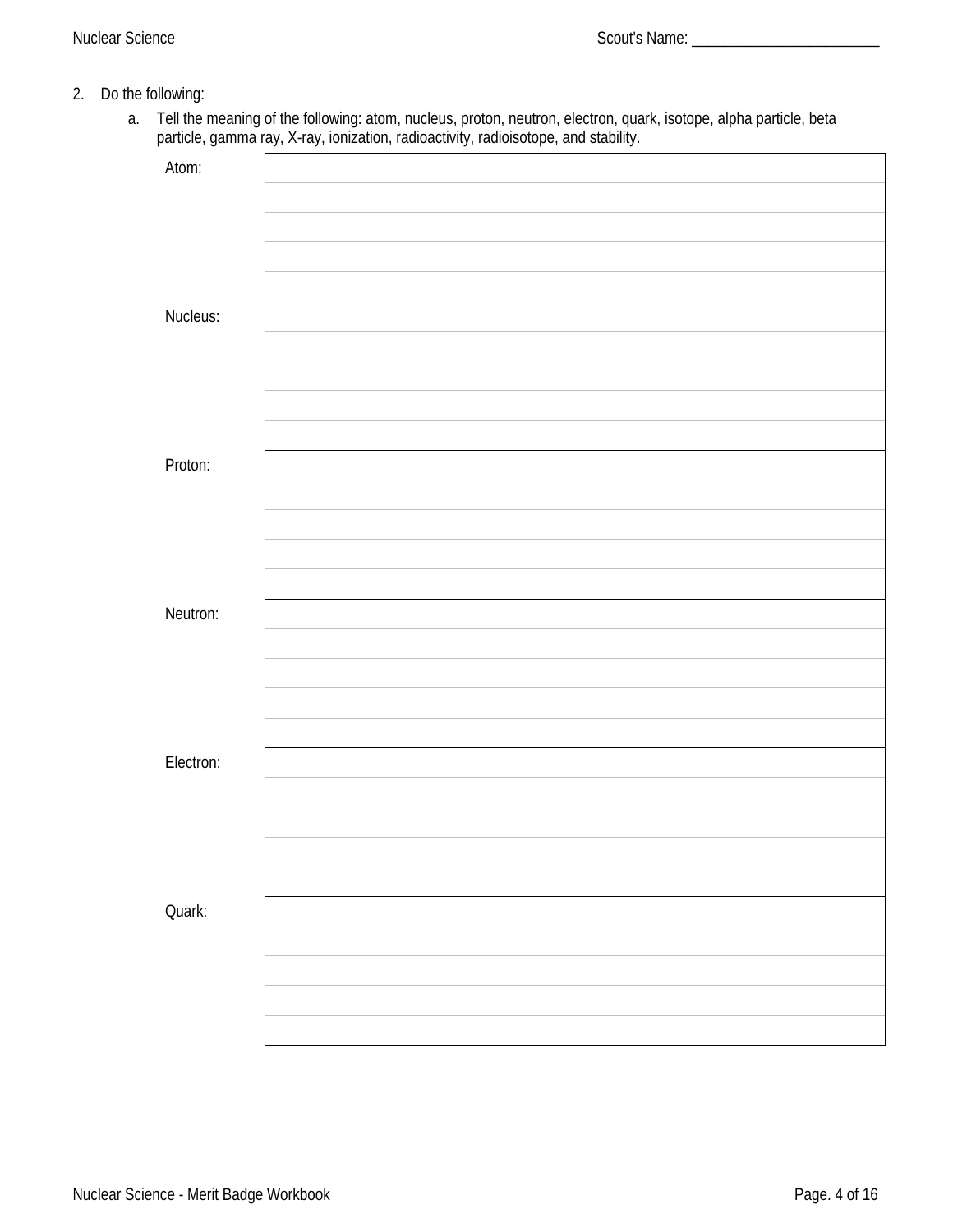- 2. Do the following:
	- a. Tell the meaning of the following: atom, nucleus, proton, neutron, electron, quark, isotope, alpha particle, beta particle, gamma ray, X-ray, ionization, radioactivity, radioisotope, and stability.

| Atom:     |  |
|-----------|--|
|           |  |
|           |  |
|           |  |
|           |  |
| Nucleus:  |  |
|           |  |
|           |  |
|           |  |
| Proton:   |  |
|           |  |
|           |  |
|           |  |
|           |  |
| Neutron:  |  |
|           |  |
|           |  |
|           |  |
|           |  |
| Electron: |  |
|           |  |
|           |  |
|           |  |
| Quark:    |  |
|           |  |
|           |  |
|           |  |
|           |  |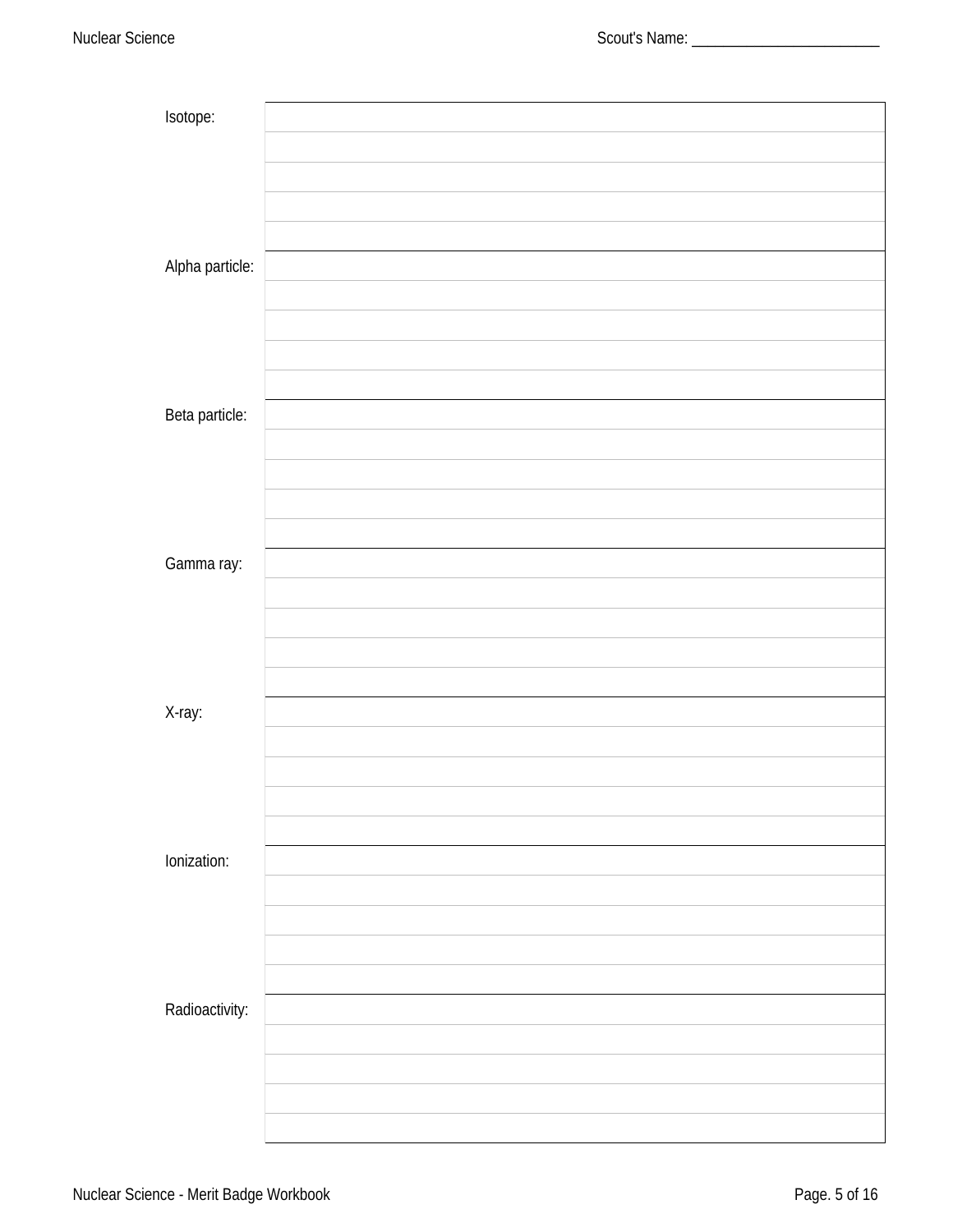| Isotope:        |  |
|-----------------|--|
|                 |  |
|                 |  |
|                 |  |
|                 |  |
|                 |  |
| Alpha particle: |  |
|                 |  |
|                 |  |
|                 |  |
|                 |  |
|                 |  |
| Beta particle:  |  |
|                 |  |
|                 |  |
|                 |  |
|                 |  |
|                 |  |
| Gamma ray:      |  |
|                 |  |
|                 |  |
|                 |  |
|                 |  |
|                 |  |
|                 |  |
| X-ray:          |  |
|                 |  |
|                 |  |
|                 |  |
|                 |  |
|                 |  |
| lonization:     |  |
|                 |  |
|                 |  |
|                 |  |
|                 |  |
|                 |  |
| Radioactivity:  |  |
|                 |  |
|                 |  |
|                 |  |
|                 |  |
|                 |  |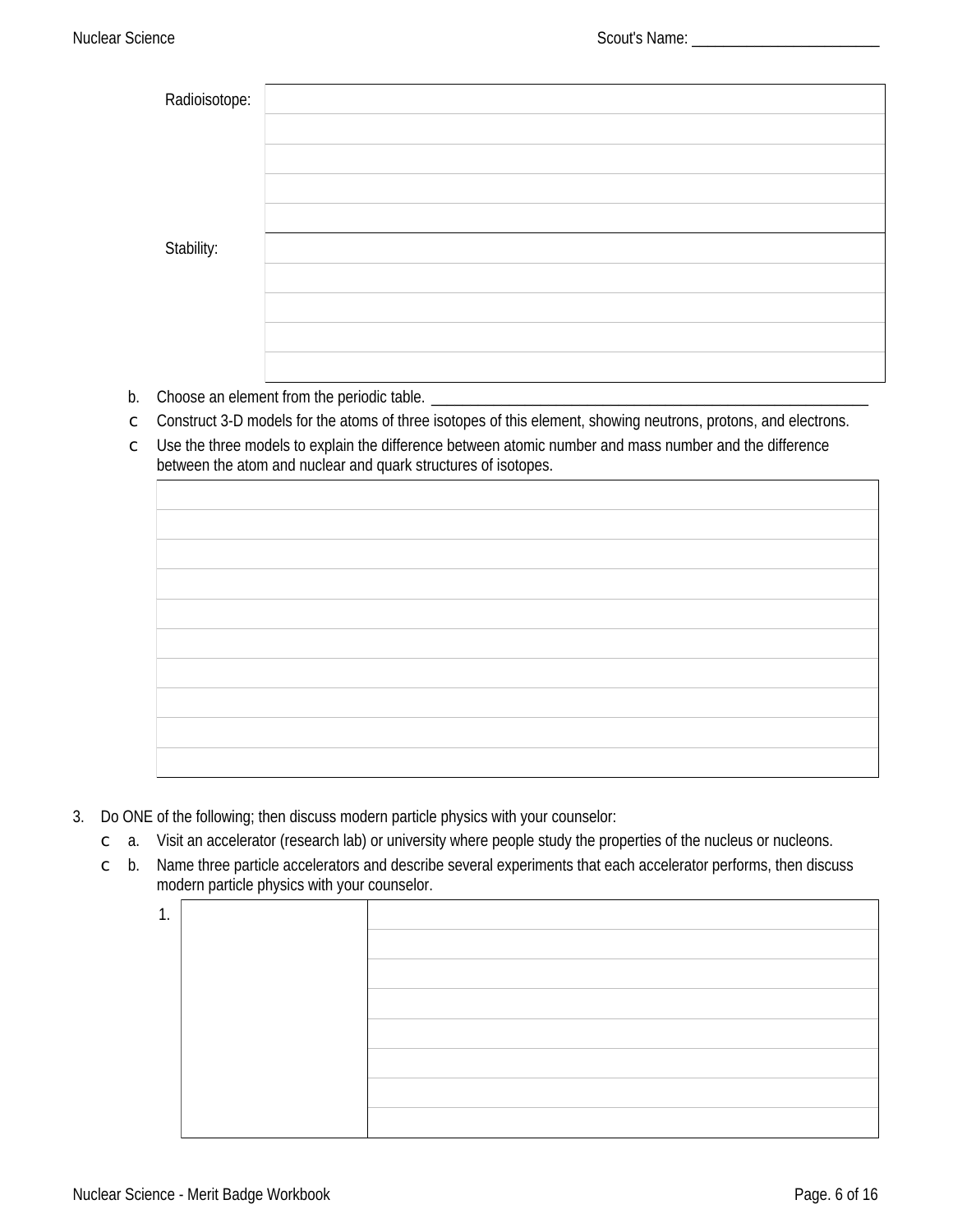| Radioisotope: |  |
|---------------|--|
|               |  |
|               |  |
|               |  |
|               |  |
| Stability:    |  |
|               |  |
|               |  |
|               |  |
|               |  |

- b. Choose an element from the periodic table.
- Construct 3-D models for the atoms of three isotopes of this element, showing neutrons, protons, and electrons.  $\mathsf{C}$
- $\degree$  Use the three models to explain the difference between atomic number and mass number and the difference between the atom and nuclear and quark structures of isotopes.

- 3. Do ONE of the following; then discuss modern particle physics with your counselor:
	- Visit an accelerator (research lab) or university where people study the properties of the nucleus or nucleons.  $\mathbb{C}$  a.
	- $\degree$  b. Name three particle accelerators and describe several experiments that each accelerator performs, then discuss modern particle physics with your counselor.

| 1<br> |  |
|-------|--|
|       |  |
|       |  |
|       |  |
|       |  |
|       |  |
|       |  |
|       |  |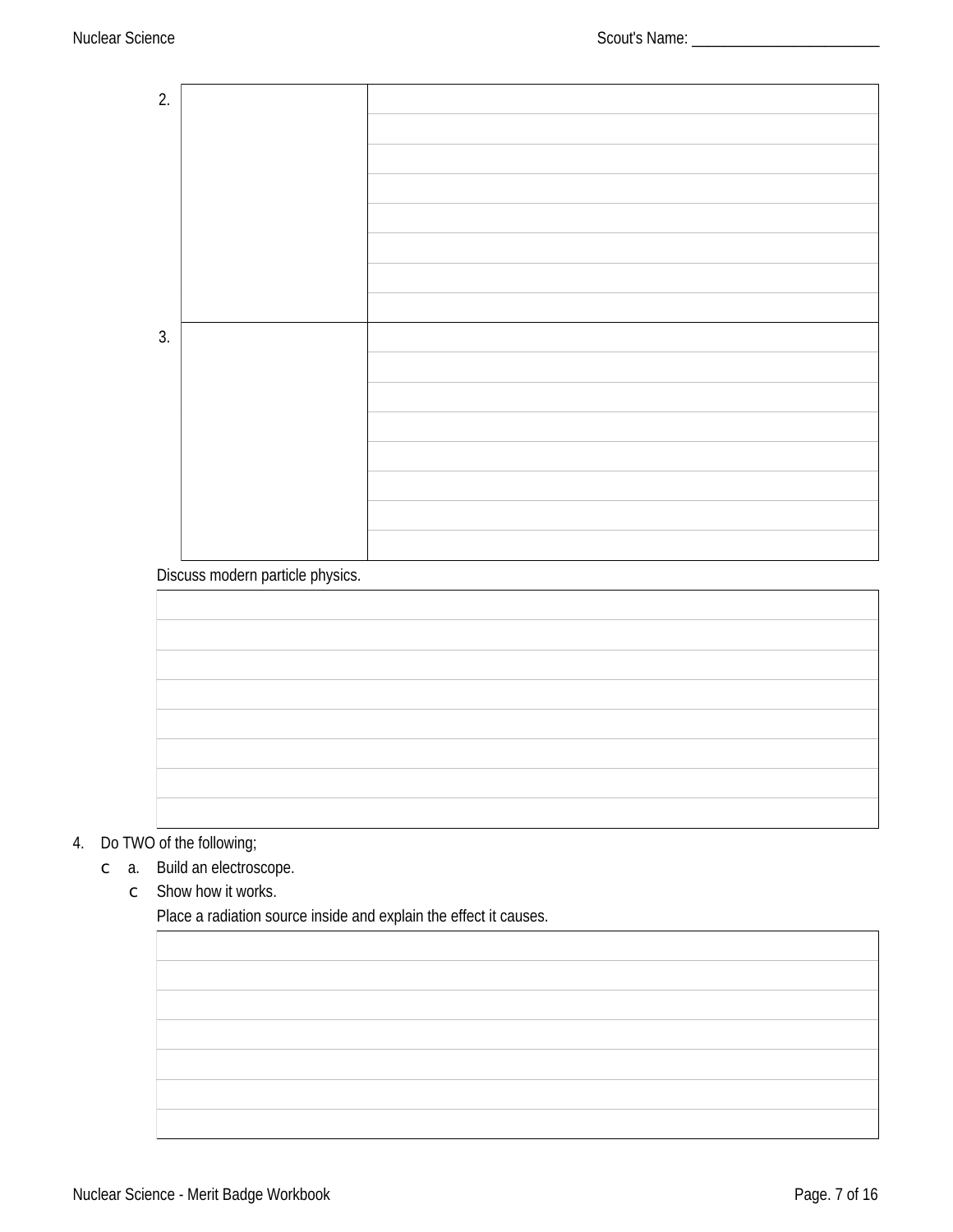| 2. |  |
|----|--|
|    |  |
|    |  |
|    |  |
|    |  |
|    |  |
|    |  |
|    |  |
|    |  |
|    |  |
|    |  |
|    |  |
|    |  |
|    |  |
|    |  |
| 3. |  |
|    |  |
|    |  |
|    |  |
|    |  |
|    |  |
|    |  |
|    |  |
|    |  |
|    |  |
|    |  |
|    |  |
|    |  |
|    |  |

### Discuss modern particle physics.

# 4. Do TWO of the following;

c a. Build an electroscope.

 $\circ$  Show how it works.

Place a radiation source inside and explain the effect it causes.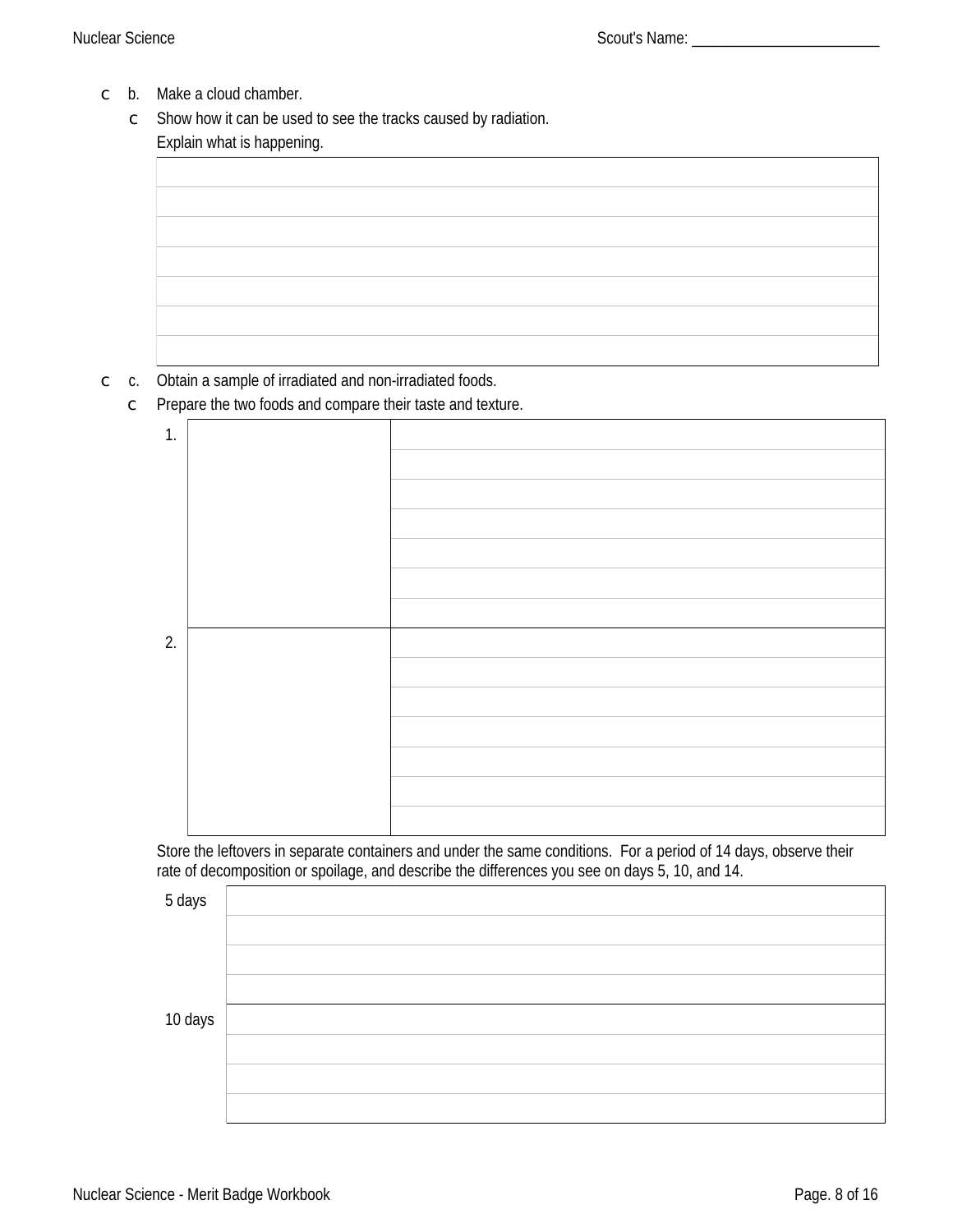- $\circ$  b. Make a cloud chamber.
	- $\circ$  Show how it can be used to see the tracks caused by radiation. Explain what is happening.

#### $\circ$  c. Obtain a sample of irradiated and non-irradiated foods.

Prepare the two foods and compare their taste and texture.  $\mathsf{C}$ 

| 1. |  |
|----|--|
|    |  |
|    |  |
|    |  |
|    |  |
|    |  |
|    |  |
|    |  |
|    |  |
|    |  |
| 2. |  |
|    |  |
|    |  |
|    |  |
|    |  |
|    |  |
|    |  |
|    |  |
|    |  |
|    |  |

Store the leftovers in separate containers and under the same conditions. For a period of 14 days, observe their rate of decomposition or spoilage, and describe the differences you see on days 5, 10, and 14.

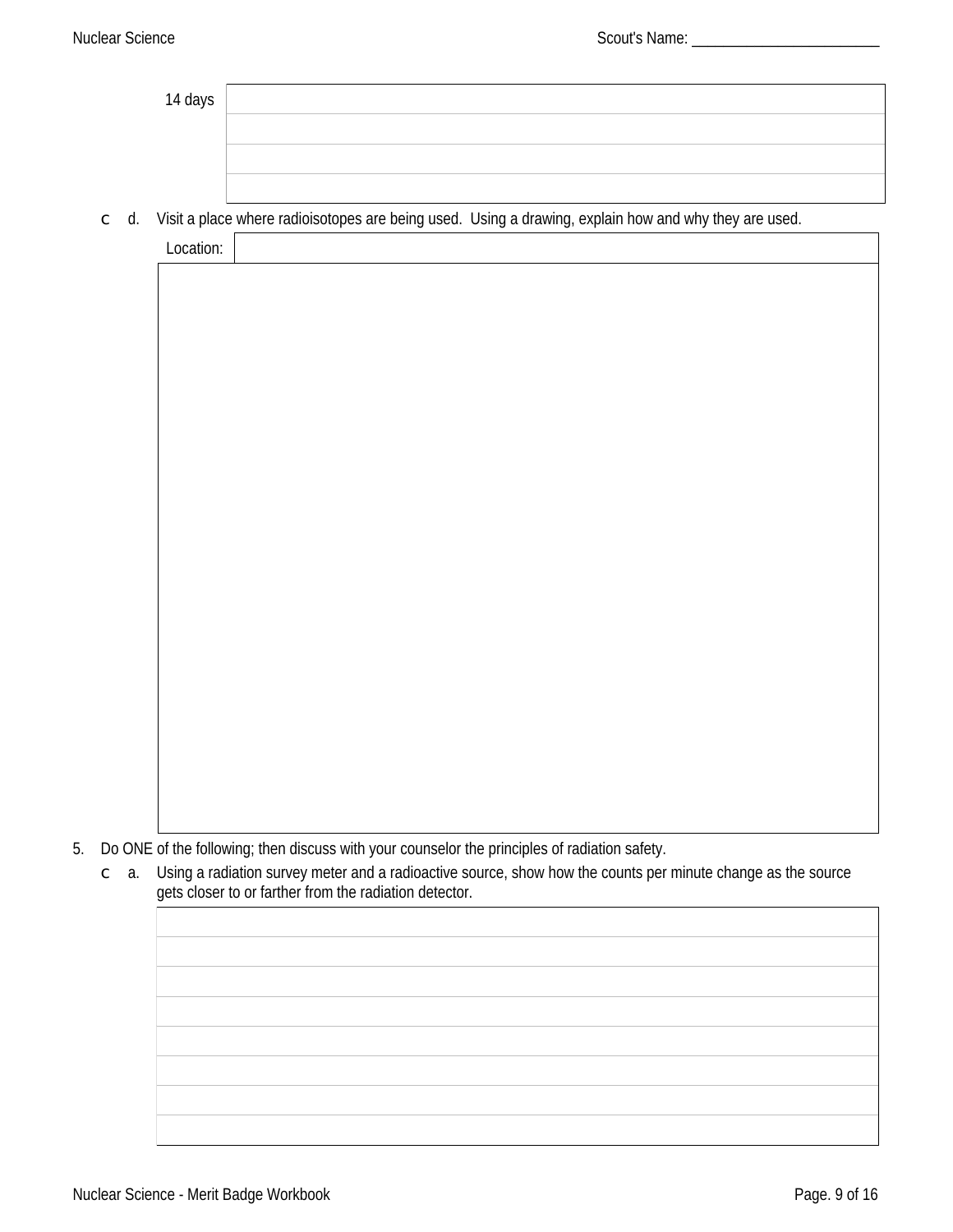| 14 days |  |
|---------|--|
|         |  |
|         |  |
|         |  |

 $\degree$  d. Visit a place where radioisotopes are being used. Using a drawing, explain how and why they are used.

| $\sim$ $\sim$<br>LOCAUON: |  |  |
|---------------------------|--|--|
|                           |  |  |

5. Do ONE of the following; then discuss with your counselor the principles of radiation safety.

Using a radiation survey meter and a radioactive source, show how the counts per minute change as the source  $\subset$  a. gets closer to or farther from the radiation detector.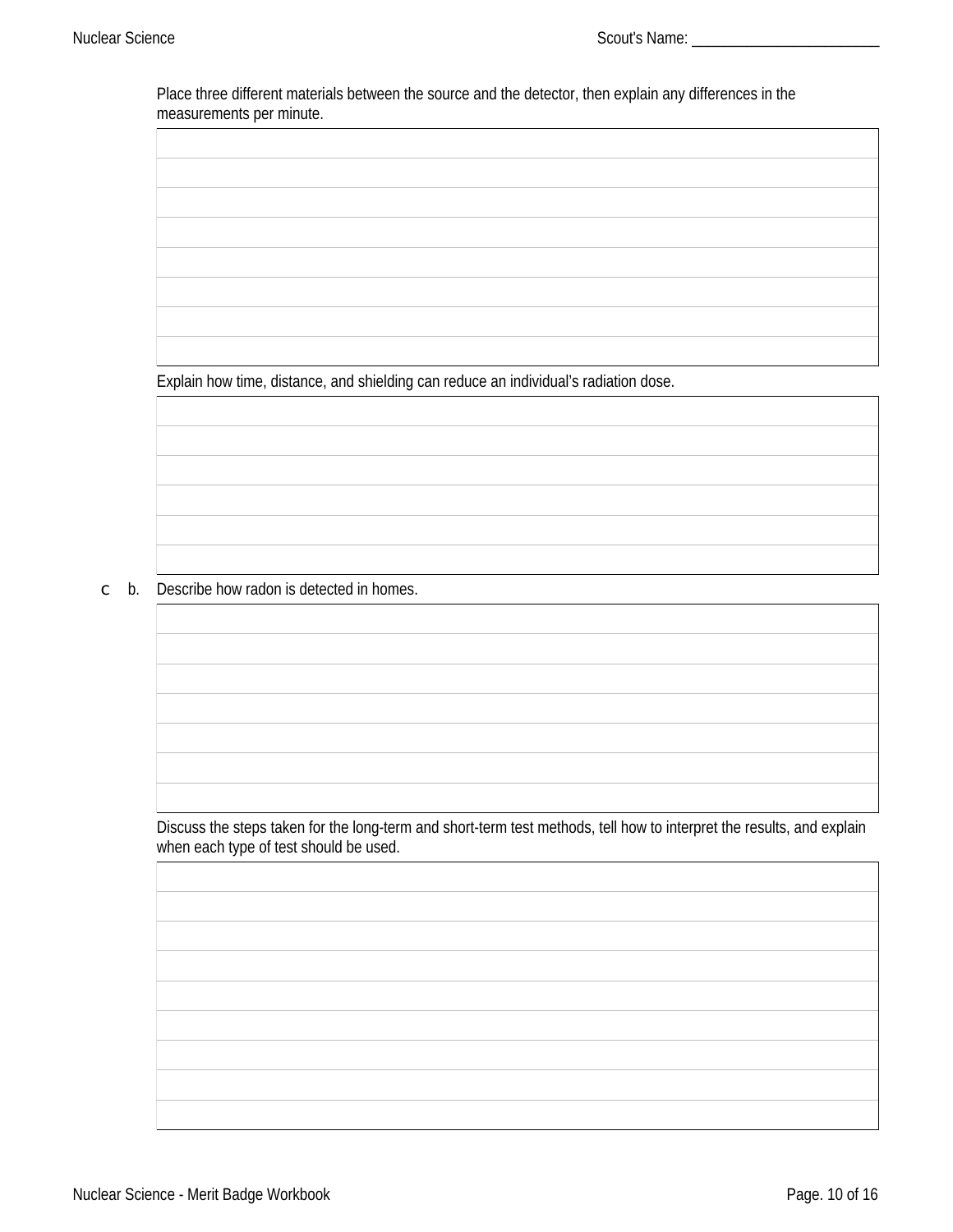Place three different materials between the source and the detector, then explain any differences in the measurements per minute.

Explain how time, distance, and shielding can reduce an individual's radiation dose.

 $\circ$  b. Describe how radon is detected in homes.

Discuss the steps taken for the long-term and short-term test methods, tell how to interpret the results, and explain when each type of test should be used.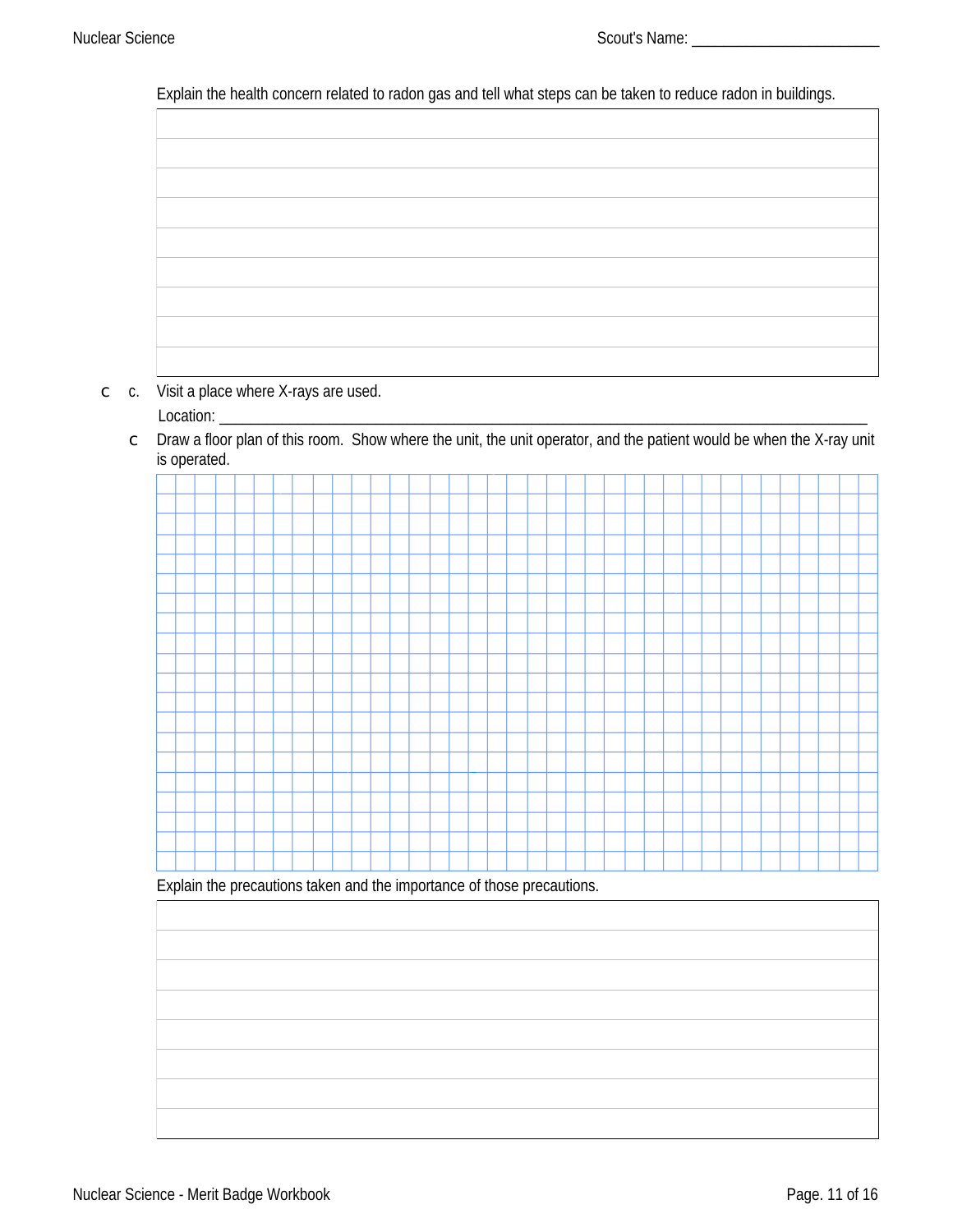Explain the health concern related to radon gas and tell what steps can be taken to reduce radon in buildings.



- $\circ$  c. Visit a place where X-rays are used.
	- Location: \_
	- C Draw a floor plan of this room. Show where the unit, the unit operator, and the patient would be when the X-ray unit is operated.



Explain the precautions taken and the importance of those precautions.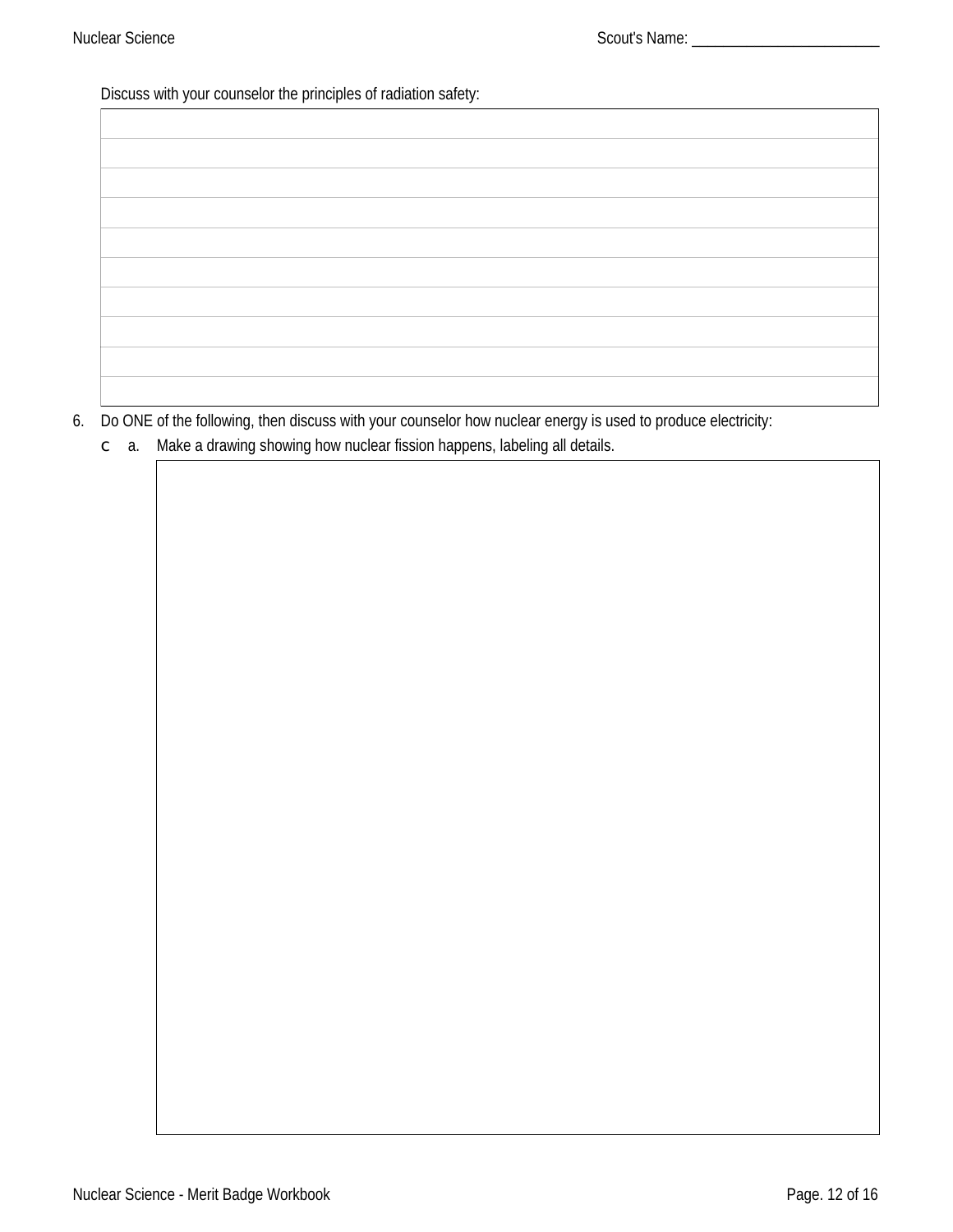Discuss with your counselor the principles of radiation safety:  $\Gamma$ 

6. Do ONE of the following, then discuss with your counselor how nuclear energy is used to produce electricity:

 $\circ$  a. Make a drawing showing how nuclear fission happens, labeling all details.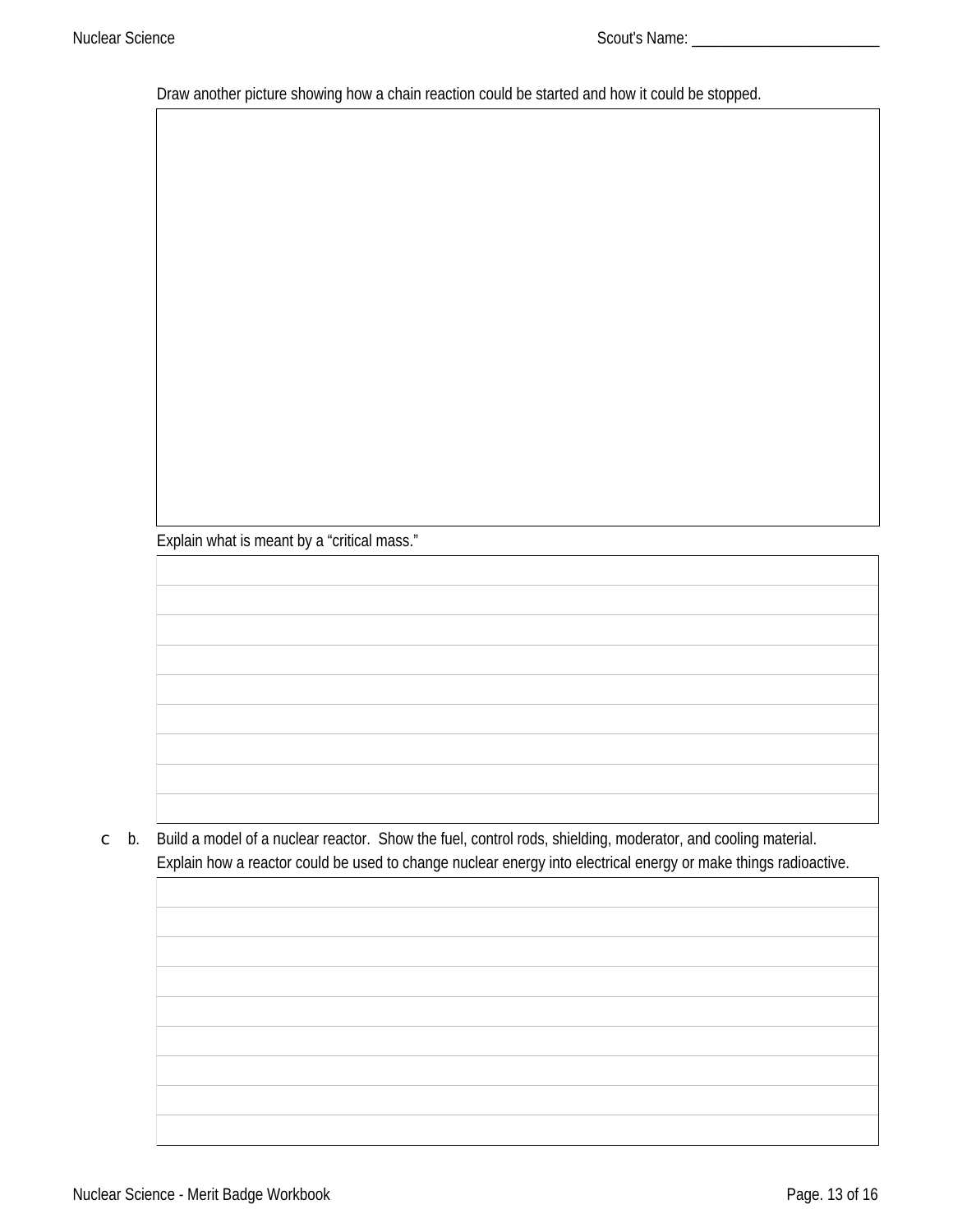Draw another picture showing how a chain reaction could be started and how it could be stopped.

Explain what is meant by a "critical mass."

 $\degree$  b. Build a model of a nuclear reactor. Show the fuel, control rods, shielding, moderator, and cooling material. Explain how a reactor could be used to change nuclear energy into electrical energy or make things radioactive.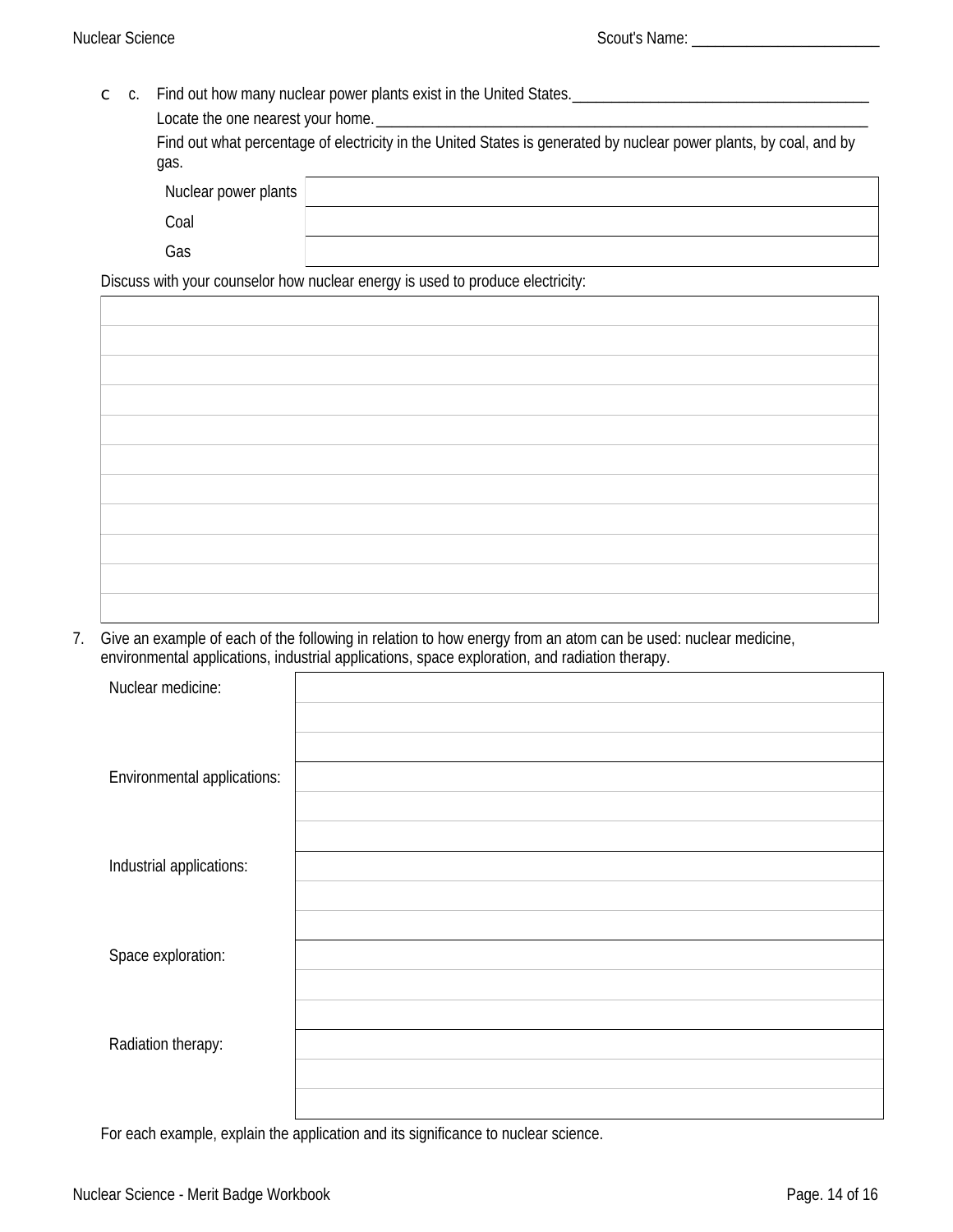C c. Find out how many nuclear power plants exist in the United States.

Locate the one nearest your home. Find out what percentage of electricity in the United States is generated by nuclear power plants, by coal, and by gas.

| Nuclear power plants |  |
|----------------------|--|
| Coal                 |  |
| Gas                  |  |

Discuss with your counselor how nuclear energy is used to produce electricity:

7. Give an example of each of the following in relation to how energy from an atom can be used: nuclear medicine, environmental applications, industrial applications, space exploration, and radiation therapy.

| Nuclear medicine:                  |  |
|------------------------------------|--|
|                                    |  |
|                                    |  |
| <b>Environmental applications:</b> |  |
|                                    |  |
|                                    |  |
| Industrial applications:           |  |
|                                    |  |
|                                    |  |
| Space exploration:                 |  |
|                                    |  |
|                                    |  |
| <b>Radiation therapy:</b>          |  |
|                                    |  |
|                                    |  |

For each example, explain the application and its significance to nuclear science.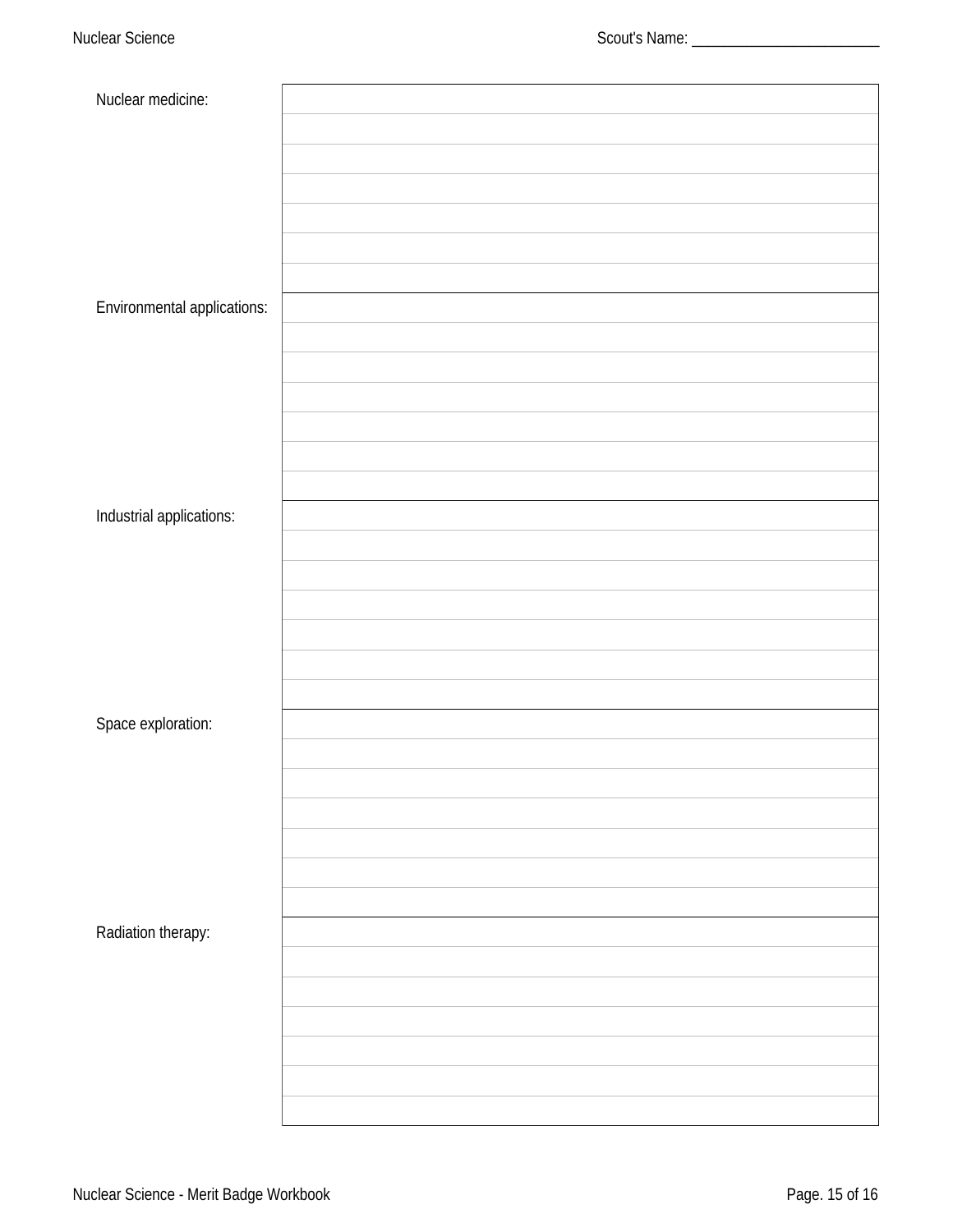| Nuclear medicine:                  |  |
|------------------------------------|--|
|                                    |  |
|                                    |  |
|                                    |  |
|                                    |  |
|                                    |  |
|                                    |  |
| <b>Environmental applications:</b> |  |
|                                    |  |
|                                    |  |
|                                    |  |
|                                    |  |
|                                    |  |
|                                    |  |
| Industrial applications:           |  |
|                                    |  |
|                                    |  |
|                                    |  |
|                                    |  |
|                                    |  |
|                                    |  |
| Space exploration:                 |  |
|                                    |  |
|                                    |  |
|                                    |  |
|                                    |  |
|                                    |  |
|                                    |  |
| Radiation therapy:                 |  |
|                                    |  |
|                                    |  |
|                                    |  |
|                                    |  |
|                                    |  |
|                                    |  |